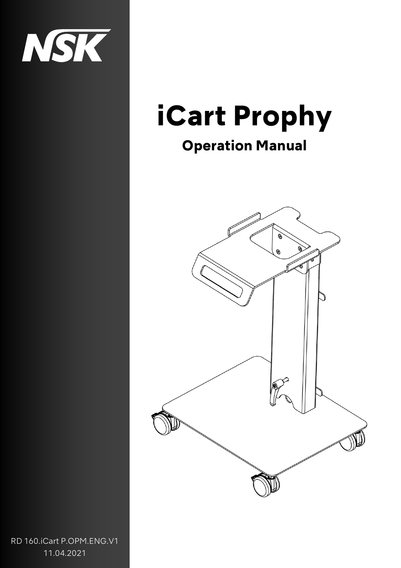

## iCart Prophy

### Operation Manual



RD 160.iCart P.OPM.ENG.V1 11.04.2021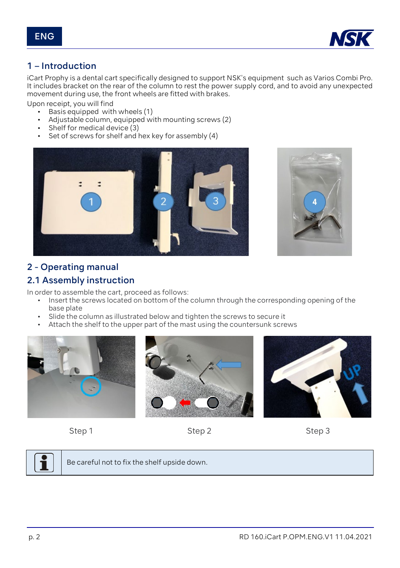

#### 1 – Introduction

iCart Prophy is a dental cart specifically designed to support NSK's equipment such as Varios Combi Pro. It includes bracket on the rear of the column to rest the power supply cord, and to avoid any unexpected movement during use, the front wheels are fitted with brakes.

Upon receipt, you will find

- Basis equipped with wheels (1)
- Adjustable column, equipped with mounting screws (2)
- Shelf for medical device (3)
- Set of screws for shelf and hex key for assembly  $(4)$





#### 2 - Operating manual

#### 2.1 Assembly instruction

In order to assemble the cart, proceed as follows:

- Insert the screws located on bottom of the column through the corresponding opening of the base plate
- Slide the column as illustrated below and tighten the screws to secure it
- Attach the shelf to the upper part of the mast using the countersunk screws













Be careful not to fix the shelf upside down.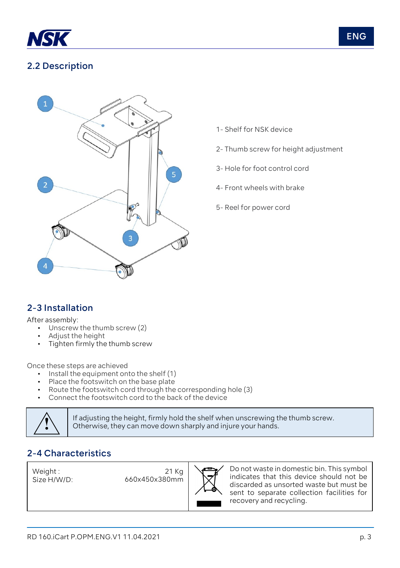

#### 2.2 Description



- 1- Shelf for NSK device
- 2- Thumb screw for height adjustment
- 3- Hole for foot control cord
- 4- Front wheels with brake
- 5- Reel for power cord

#### 2-3 Installation

After assembly:

- Unscrew the thumb screw (2)
- Adjust the height
- Tighten firmly the thumb screw

Once these steps are achieved

- Install the equipment onto the shelf (1)
- Place the foots witch on the base plate
- Route the footswitch cord through the corresponding hole (3)
- Connect the footswitch cord to the back of the device



**!** If adjusting the height, firmly hold the shelf when unscrewing the thumb screw. Otherwise, they can move down sharply and injure your hands.

#### 2-4 Characteristics

Weight : Size H/W/D:

21 Kg 660x450x380mm



Do not waste in domestic bin. This symbol indicates that this device should not be discarded as unsorted waste but must be sent to separate collection facilities for recovery and recycling.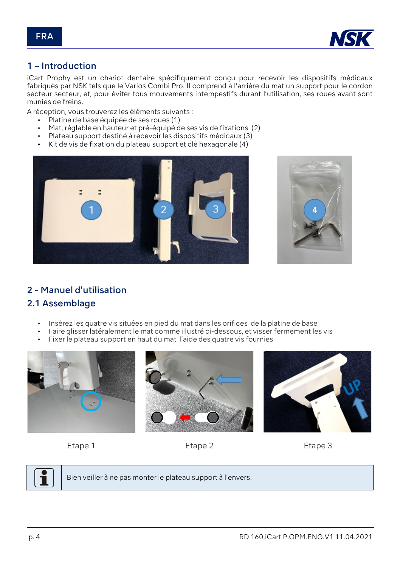

#### 1 – Introduction

iCart Prophy est un chariot dentaire spécifiquement conçu pour recevoir les dispositifs médicaux fabriqués par NSK tels que le Varios Combi Pro. Il comprend à l'arrière du mat un support pour le cordon secteur secteur, et, pour éviter tous mouvements intempestifs durant l'utilisation, ses roues avant sont munies de freins.

A réception, vous trouverez les éléments suivants :

- Platine de base équipée de ses roues (1)
- Mat, réglable en hauteur et pré-équipé de ses vis de fixations (2)
- Plateau support destiné à recevoir les dispositifs médicaux (3)
- Kit de vis de fixation du plateau support et clé hexagonale (4)





#### 2 - Manuel d'utilisation

#### 2.1 Assemblage

- Insérez les quatre vis situées en pied du mat dans les orifices de la platine de base
- Faire glisser latéralement le mat comme illustré ci-dessous, et visser fermement les vis
- Fixer le plateau support en haut du mat l'aide des quatre vis fournies











Bien veiller à ne pas monter le plateau support à l'envers.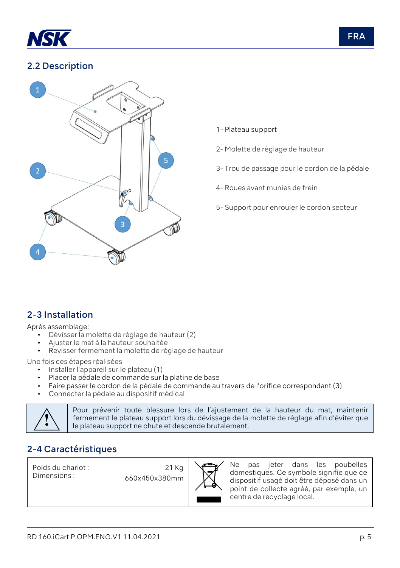

#### 2.2 Description



- 1- Plateau support
- 2- Molette de réglage de hauteur
- 3- Trou de passage pour le cordon de la pédale
- 4- Roues avant munies de frein
- 5- Support pour enrouler le cordon secteur

#### 2-3 Installation

Après assemblage:

- Dévisser la molette de réglage de hauteur (2)
- Ajuster le mat à la hauteur souhaitée
- Revisser fermement la molette de réglage de hauteur

Une fois ces étapes réalisées

- Installer l'appareil sur le plateau (1)
- Placer la pédale de commande sur la platine de base
- Faire passer le cordon de la pédale de commande au travers de l'orifice correspondant (3)
- Connecter la pédale au dispositif médical



**|** Pour prévenir toute blessure lors de l'ajustement de la hauteur du mat, maintenir<br>| fermement le plateau support lors du dévissage de la molette de réglage afin d'éviter que<br>| le plateau support ne chute et descende br fermement le plateau support lors du dévissage de la molette de réglage afin d'éviter que le plateau support ne chute et descende brutalement.

#### 2-4 Caractéristiques

Poids du chariot : Dimensions :

21 Kg 660x450x380mm



Ne pas jeter dans les poubelles domestiques. Ce symbole signifie que ce dispositif usagé doit être déposé dans un point de collecte agréé, par exemple, un centre de recyclage local.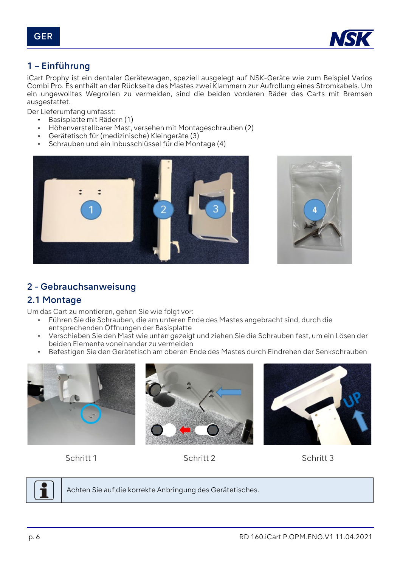

#### 1 – Einführung

iCart Prophy ist ein dentaler Gerätewagen, speziell ausgelegt auf NSK-Geräte wie zum Beispiel Varios Combi Pro. Es enthält an der Rückseite des Mastes zwei Klammern zur Aufrollung eines Stromkabels. Um ein ungewolltes Wegrollen zu vermeiden, sind die beiden vorderen Räder des Carts mit Bremsen ausgestattet.

Der Lieferumfang umfasst:

- Basisplatte mit Rädern (1)
- Höhenverstellbarer Mast, versehen mit Montageschrauben (2)
- Gerätetisch für (medizinische) Kleingeräte (3)
- Schrauben und ein Inbusschlüssel für die Montage (4)





#### 2 - Gebrauchsanweisung

#### 2.1 Montage

Um das Cart zu montieren, gehen Sie wie folgt vor:

- Führen Sie die Schrauben, die am unteren Ende des Mastes angebracht sind, durch die entsprechenden Öffnungen der Basisplatte
- Verschieben Sie den Mast wie unten gezeigt und ziehen Sie die Schrauben fest, um ein Lösen der beiden Elemente voneinander zu vermeiden
- Befestigen Sie den Gerätetisch am oberen Ende des Mastes durch Eindrehen der Senkschrauben











Achten Sie auf die korrekte Anbringung des Gerätetisches.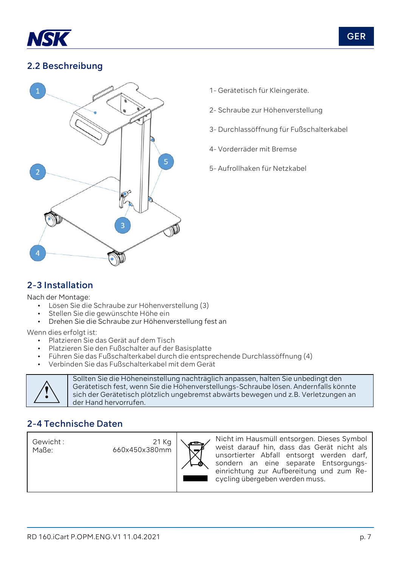

#### 2.2 Beschreibung



- 1- Gerätetisch für Kleingeräte.
- 2- Schraube zur Höhenverstellung
- 3- Durchlassöffnung für Fußschalterkabel
- 4- Vorderräder mit Bremse
- 5- Aufrollhaken für Netzkabel

#### 2-3 Installation

Nach der Montage:

- Lösen Sie die Schraube zur Höhenverstellung (3)
- Stellen Sie die gewünschte Höhe ein
- Drehen Sie die Schraube zur Höhenverstellung fest an

Wenn dies erfolgt ist:

- Platzieren Sie das Gerät auf dem Tisch
- Platzieren Sie den Fußschalter auf der Basisplatte
- Führen Sie das Fußschalterkabel durch die entsprechende Durchlassöffnung (4)
- Verbinden Sie das Fußschalterkabel mit dem Gerät



Sollten Sie die Höheneinstellung nachträglich anpassen, halten Sie unbedingt den Gerätetisch fest, wenn Sie die Höhenverstellungs-Schraube lösen. Andernfalls könnte sich der Gerätetisch plötzlich ungebremst abwärts bewegen und z.B. Verletzungen an der Hand hervorrufen.

#### 2-4 Technische Daten

Gewicht : Maße:

21 Kg 660x450x380mm



Nicht im Hausmüll entsorgen. Dieses Symbol weist darauf hin, dass das Gerät nicht als unsortierter Abfall entsorgt werden darf, sondern an eine separate Entsorgungseinrichtung zur Aufbereitung und zum Recycling übergeben werden muss.